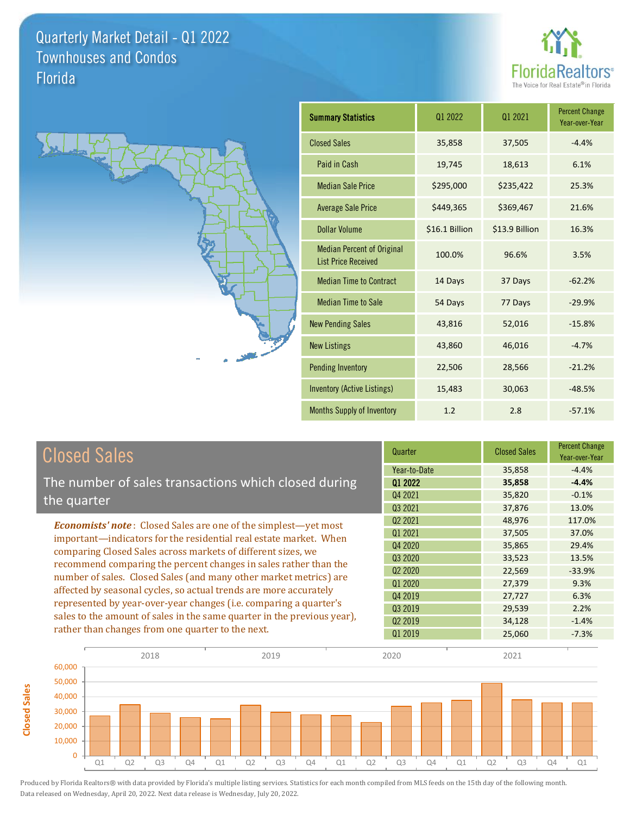**Closed Sales**

**Closed Sales** 





| <b>Summary Statistics</b>                                       | 01 2022        | 01 2021        | <b>Percent Change</b><br>Year-over-Year |
|-----------------------------------------------------------------|----------------|----------------|-----------------------------------------|
| <b>Closed Sales</b>                                             | 35,858         | 37,505         | $-4.4%$                                 |
| Paid in Cash                                                    | 19,745         | 18,613         | 6.1%                                    |
| <b>Median Sale Price</b>                                        | \$295,000      | \$235,422      | 25.3%                                   |
| <b>Average Sale Price</b>                                       | \$449,365      | \$369,467      | 21.6%                                   |
| Dollar Volume                                                   | \$16.1 Billion | \$13.9 Billion | 16.3%                                   |
| <b>Median Percent of Original</b><br><b>List Price Received</b> | 100.0%         | 96.6%          | 3.5%                                    |
| <b>Median Time to Contract</b>                                  | 14 Days        | 37 Days        | $-62.2%$                                |
| <b>Median Time to Sale</b>                                      | 54 Days        | 77 Days        | $-29.9%$                                |
| <b>New Pending Sales</b>                                        | 43,816         | 52,016         | $-15.8%$                                |
| <b>New Listings</b>                                             | 43,860         | 46,016         | $-4.7%$                                 |
| <b>Pending Inventory</b>                                        | 22,506         | 28,566         | $-21.2%$                                |
| Inventory (Active Listings)                                     | 15,483         | 30,063         | $-48.5%$                                |
| <b>Months Supply of Inventory</b>                               | 1.2            | 2.8            | $-57.1%$                                |

| <b>Closed Sales</b>                                                                                                                                                                                                                                                                                                                             | Quarter                         | <b>Closed Sales</b> | <b>Percent Change</b><br>Year-over-Year |
|-------------------------------------------------------------------------------------------------------------------------------------------------------------------------------------------------------------------------------------------------------------------------------------------------------------------------------------------------|---------------------------------|---------------------|-----------------------------------------|
|                                                                                                                                                                                                                                                                                                                                                 | Year-to-Date                    | 35,858              | $-4.4%$                                 |
| The number of sales transactions which closed during                                                                                                                                                                                                                                                                                            | 01 2022                         | 35,858              | $-4.4%$                                 |
| the quarter                                                                                                                                                                                                                                                                                                                                     | Q4 2021                         | 35,820              | $-0.1%$                                 |
|                                                                                                                                                                                                                                                                                                                                                 | Q3 2021                         | 37,876              | 13.0%                                   |
| <b>Economists' note:</b> Closed Sales are one of the simplest—yet most                                                                                                                                                                                                                                                                          | 02 2021                         | 48,976              | 117.0%                                  |
| important—indicators for the residential real estate market. When                                                                                                                                                                                                                                                                               | 01 2021                         | 37,505              | 37.0%                                   |
| comparing Closed Sales across markets of different sizes, we<br>recommend comparing the percent changes in sales rather than the<br>number of sales. Closed Sales (and many other market metrics) are<br>affected by seasonal cycles, so actual trends are more accurately<br>represented by year-over-year changes (i.e. comparing a quarter's | Q4 2020                         | 35,865              | 29.4%                                   |
|                                                                                                                                                                                                                                                                                                                                                 | Q3 2020                         | 33,523              | 13.5%                                   |
|                                                                                                                                                                                                                                                                                                                                                 | Q <sub>2</sub> 20 <sub>20</sub> | 22,569              | $-33.9%$                                |
|                                                                                                                                                                                                                                                                                                                                                 | Q1 2020                         | 27,379              | 9.3%                                    |
|                                                                                                                                                                                                                                                                                                                                                 | Q4 2019                         | 27,727              | 6.3%                                    |
|                                                                                                                                                                                                                                                                                                                                                 | Q3 2019                         | 29,539              | 2.2%                                    |
| sales to the amount of sales in the same quarter in the previous year),                                                                                                                                                                                                                                                                         | 02 2019                         | 34,128              | $-1.4%$                                 |
| rather than changes from one quarter to the next.                                                                                                                                                                                                                                                                                               | Q1 2019                         | 25,060              | $-7.3%$                                 |

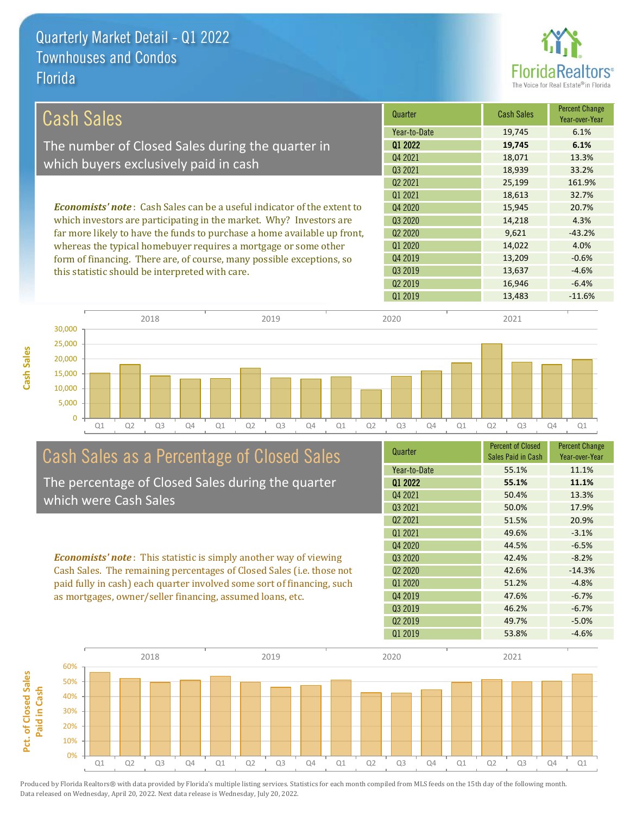

| Cash Sales                                                                     | Quarter             | Cash Sales | <b>Percent Change</b><br>Year-over-Year |
|--------------------------------------------------------------------------------|---------------------|------------|-----------------------------------------|
|                                                                                | Year-to-Date        | 19,745     | 6.1%                                    |
| The number of Closed Sales during the quarter in                               | 01 2022             | 19,745     | 6.1%                                    |
|                                                                                | Q4 2021             | 18,071     | 13.3%                                   |
| which buyers exclusively paid in cash                                          | 03 2021             | 18,939     | 33.2%                                   |
|                                                                                | Q <sub>2</sub> 2021 | 25,199     | 161.9%                                  |
|                                                                                | 01 2021             | 18,613     | 32.7%                                   |
| <b>Economists' note:</b> Cash Sales can be a useful indicator of the extent to | Q4 2020             | 15,945     | 20.7%                                   |
| which investors are participating in the market. Why? Investors are            | 03 20 20            | 14,218     | 4.3%                                    |
| far more likely to have the funds to purchase a home available up front,       | 02 2020             | 9.621      | $-43.2%$                                |
| whereas the typical homebuyer requires a mortgage or some other                | 01 2020             | 14,022     | 4.0%                                    |
| form of financing. There are, of course, many possible exceptions, so          | Q4 2019             | 13,209     | $-0.6%$                                 |
| this statistic should be interpreted with care.                                | Q3 2019             | 13,637     | $-4.6%$                                 |
|                                                                                | 02 2019             | 16,946     | $-6.4%$                                 |





# Cash Sales as a Percentage of Closed Sales

The percentage of Closed Sales during the quarter which were Cash Sales

*Economists' note* : This statistic is simply another way of viewing Cash Sales. The remaining percentages of Closed Sales (i.e. those not paid fully in cash) each quarter involved some sort of financing, such as mortgages, owner/seller financing, assumed loans, etc.

| Quarter                         | <b>Percent of Closed</b> | <b>Percent Change</b> |
|---------------------------------|--------------------------|-----------------------|
|                                 | Sales Paid in Cash       | Year-over-Year        |
| Year-to-Date                    | 55.1%                    | 11.1%                 |
| 01 2022                         | 55.1%                    | 11.1%                 |
| Q4 2021                         | 50.4%                    | 13.3%                 |
| Q3 2021                         | 50.0%                    | 17.9%                 |
| Q <sub>2</sub> 2021             | 51.5%                    | 20.9%                 |
| 01 2021                         | 49.6%                    | $-3.1%$               |
| Q4 2020                         | 44.5%                    | $-6.5%$               |
| Q <sub>3</sub> 2020             | 42.4%                    | $-8.2%$               |
| Q <sub>2</sub> 20 <sub>20</sub> | 42.6%                    | $-14.3%$              |
| Q1 2020                         | 51.2%                    | $-4.8%$               |
| Q4 2019                         | 47.6%                    | $-6.7%$               |
| Q3 2019                         | 46.2%                    | $-6.7%$               |
| Q <sub>2</sub> 2019             | 49.7%                    | $-5.0%$               |
| Q1 2019                         | 53.8%                    | $-4.6%$               |
|                                 |                          |                       |

Q1 2019 13,483 -11.6%

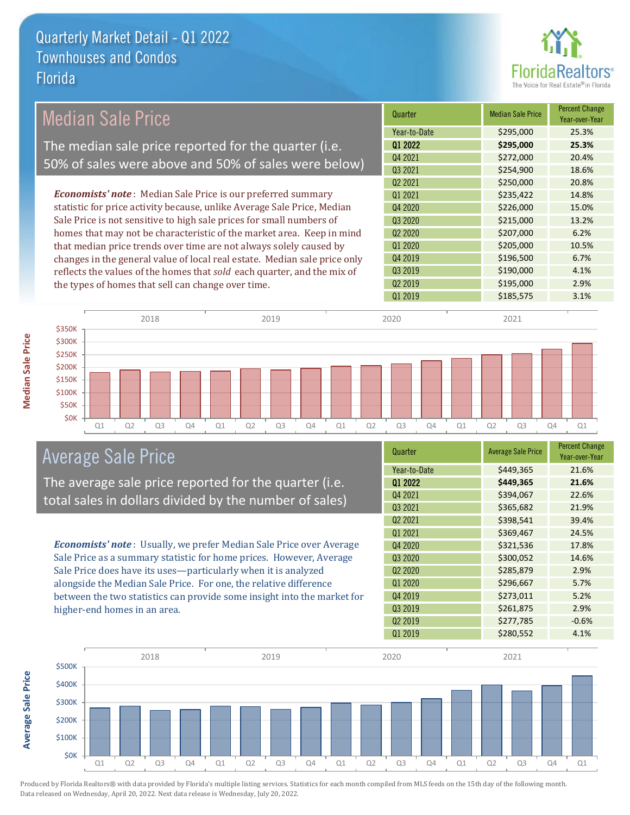

|        | <b>Median Sale Price</b> |                                                                                                                                                                                                                                                                                                                                                                                                                                                                                                                                                                                                                                                                                                                                                                                                                                                                                                                                                                                                                                                                                                                                           |  | <b>Median Sale Price</b> | Percent Change<br>Year-over-Year |
|--------|--------------------------|-------------------------------------------------------------------------------------------------------------------------------------------------------------------------------------------------------------------------------------------------------------------------------------------------------------------------------------------------------------------------------------------------------------------------------------------------------------------------------------------------------------------------------------------------------------------------------------------------------------------------------------------------------------------------------------------------------------------------------------------------------------------------------------------------------------------------------------------------------------------------------------------------------------------------------------------------------------------------------------------------------------------------------------------------------------------------------------------------------------------------------------------|--|--------------------------|----------------------------------|
|        |                          |                                                                                                                                                                                                                                                                                                                                                                                                                                                                                                                                                                                                                                                                                                                                                                                                                                                                                                                                                                                                                                                                                                                                           |  | \$295,000                | 25.3%                            |
|        |                          |                                                                                                                                                                                                                                                                                                                                                                                                                                                                                                                                                                                                                                                                                                                                                                                                                                                                                                                                                                                                                                                                                                                                           |  | \$295,000                | 25.3%                            |
|        |                          |                                                                                                                                                                                                                                                                                                                                                                                                                                                                                                                                                                                                                                                                                                                                                                                                                                                                                                                                                                                                                                                                                                                                           |  | \$272,000                | 20.4%                            |
|        |                          |                                                                                                                                                                                                                                                                                                                                                                                                                                                                                                                                                                                                                                                                                                                                                                                                                                                                                                                                                                                                                                                                                                                                           |  | \$254,900                | 18.6%                            |
|        |                          |                                                                                                                                                                                                                                                                                                                                                                                                                                                                                                                                                                                                                                                                                                                                                                                                                                                                                                                                                                                                                                                                                                                                           |  | \$250,000                | 20.8%                            |
|        |                          |                                                                                                                                                                                                                                                                                                                                                                                                                                                                                                                                                                                                                                                                                                                                                                                                                                                                                                                                                                                                                                                                                                                                           |  | \$235,422                | 14.8%                            |
|        |                          | Quarter<br>Year-to-Date<br>Q1 2022<br>The median sale price reported for the quarter (i.e.<br>Q4 2021<br>50% of sales were above and 50% of sales were below)<br>Q3 2021<br>Q <sub>2</sub> 2021<br><b>Economists' note</b> : Median Sale Price is our preferred summary<br>Q1 2021<br>statistic for price activity because, unlike Average Sale Price, Median<br>Q4 2020<br>\$226,000<br>15.0%<br>Sale Price is not sensitive to high sale prices for small numbers of<br>\$215,000<br>Q <sub>3</sub> 2020<br>13.2%<br>homes that may not be characteristic of the market area. Keep in mind<br>Q <sub>2</sub> 20 <sub>20</sub><br>\$207,000<br>6.2%<br>that median price trends over time are not always solely caused by<br>Q1 2020<br>\$205,000<br>10.5%<br>\$196,500<br>Q4 2019<br>6.7%<br>changes in the general value of local real estate. Median sale price only<br>Q3 2019<br>\$190,000<br>4.1%<br>reflects the values of the homes that sold each quarter, and the mix of<br>Q2 2019<br>\$195,000<br>2.9%<br>the types of homes that sell can change over time.<br>Q1 2019<br>\$185,575<br>3.1%<br>2018<br>2019<br>2020<br>2021 |  |                          |                                  |
|        |                          |                                                                                                                                                                                                                                                                                                                                                                                                                                                                                                                                                                                                                                                                                                                                                                                                                                                                                                                                                                                                                                                                                                                                           |  |                          |                                  |
|        |                          |                                                                                                                                                                                                                                                                                                                                                                                                                                                                                                                                                                                                                                                                                                                                                                                                                                                                                                                                                                                                                                                                                                                                           |  |                          |                                  |
|        |                          |                                                                                                                                                                                                                                                                                                                                                                                                                                                                                                                                                                                                                                                                                                                                                                                                                                                                                                                                                                                                                                                                                                                                           |  |                          |                                  |
|        |                          |                                                                                                                                                                                                                                                                                                                                                                                                                                                                                                                                                                                                                                                                                                                                                                                                                                                                                                                                                                                                                                                                                                                                           |  |                          |                                  |
|        |                          |                                                                                                                                                                                                                                                                                                                                                                                                                                                                                                                                                                                                                                                                                                                                                                                                                                                                                                                                                                                                                                                                                                                                           |  |                          |                                  |
|        |                          |                                                                                                                                                                                                                                                                                                                                                                                                                                                                                                                                                                                                                                                                                                                                                                                                                                                                                                                                                                                                                                                                                                                                           |  |                          |                                  |
|        |                          |                                                                                                                                                                                                                                                                                                                                                                                                                                                                                                                                                                                                                                                                                                                                                                                                                                                                                                                                                                                                                                                                                                                                           |  |                          |                                  |
|        |                          |                                                                                                                                                                                                                                                                                                                                                                                                                                                                                                                                                                                                                                                                                                                                                                                                                                                                                                                                                                                                                                                                                                                                           |  |                          |                                  |
| \$350K |                          |                                                                                                                                                                                                                                                                                                                                                                                                                                                                                                                                                                                                                                                                                                                                                                                                                                                                                                                                                                                                                                                                                                                                           |  |                          |                                  |
| \$300K |                          |                                                                                                                                                                                                                                                                                                                                                                                                                                                                                                                                                                                                                                                                                                                                                                                                                                                                                                                                                                                                                                                                                                                                           |  |                          |                                  |
| \$250K |                          |                                                                                                                                                                                                                                                                                                                                                                                                                                                                                                                                                                                                                                                                                                                                                                                                                                                                                                                                                                                                                                                                                                                                           |  |                          |                                  |
| \$200K |                          |                                                                                                                                                                                                                                                                                                                                                                                                                                                                                                                                                                                                                                                                                                                                                                                                                                                                                                                                                                                                                                                                                                                                           |  |                          |                                  |
| \$150K |                          |                                                                                                                                                                                                                                                                                                                                                                                                                                                                                                                                                                                                                                                                                                                                                                                                                                                                                                                                                                                                                                                                                                                                           |  |                          |                                  |

Q1 Q2 Q3 Q4 Q1 Q2 Q3 Q4 Q1 Q2 Q3 Q4 Q1 Q2 Q3 Q4 Q1

## Average Sale Price

\$0K \$50K \$100K

The average sale price reported for the quarter (i.e. total sales in dollars divided by the number of sales)

*Economists' note* : Usually, we prefer Median Sale Price over Average Sale Price as a summary statistic for home prices. However, Average Sale Price does have its uses—particularly when it is analyzed alongside the Median Sale Price. For one, the relative difference between the two statistics can provide some insight into the market for higher-end homes in an area.

| Quarter                         | <b>Average Sale Price</b> | <b>Percent Change</b><br>Year-over-Year |
|---------------------------------|---------------------------|-----------------------------------------|
| Year-to-Date                    | \$449,365                 | 21.6%                                   |
| Q1 2022                         | \$449,365                 | 21.6%                                   |
| Q4 2021                         | \$394,067                 | 22.6%                                   |
| Q3 2021                         | \$365,682                 | 21.9%                                   |
| Q <sub>2</sub> 2021             | \$398,541                 | 39.4%                                   |
| Q1 2021                         | \$369,467                 | 24.5%                                   |
| Q4 2020                         | \$321,536                 | 17.8%                                   |
| Q3 2020                         | \$300,052                 | 14.6%                                   |
| Q <sub>2</sub> 20 <sub>20</sub> | \$285,879                 | 2.9%                                    |
| Q1 2020                         | \$296,667                 | 5.7%                                    |
| Q4 2019                         | \$273,011                 | 5.2%                                    |
| Q3 2019                         | \$261,875                 | 2.9%                                    |
| Q <sub>2</sub> 2019             | \$277,785                 | $-0.6%$                                 |
| Q1 2019                         | \$280,552                 | 4.1%                                    |



Produced by Florida Realtors® with data provided by Florida's multiple listing services. Statistics for each month compiled from MLS feeds on the 15th day of the following month. Data released on Wednesday, April 20, 2022. Next data release is Wednesday, July 20, 2022.

**Average Sale Price**

**Average Sale Price**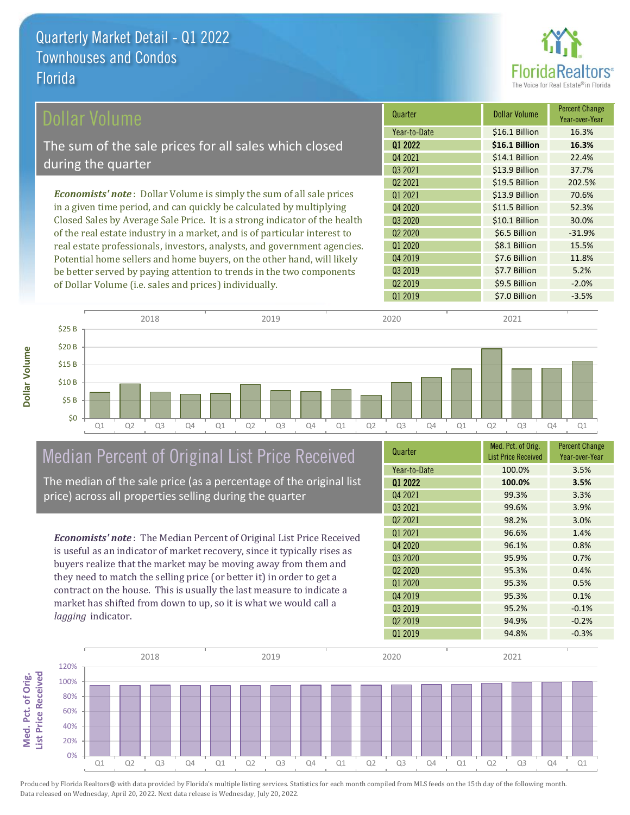

| Dollar Volume                                                                | Quarter             | <b>Dollar Volume</b> | <b>Percent Change</b><br>Year-over-Year |
|------------------------------------------------------------------------------|---------------------|----------------------|-----------------------------------------|
|                                                                              | Year-to-Date        | \$16.1 Billion       | 16.3%                                   |
| The sum of the sale prices for all sales which closed                        | 01 2022             | \$16.1 Billion       | 16.3%                                   |
|                                                                              | Q4 2021             | \$14.1 Billion       | 22.4%                                   |
| during the quarter                                                           | Q3 2021             | \$13.9 Billion       | 37.7%                                   |
|                                                                              | Q <sub>2</sub> 2021 | \$19.5 Billion       | 202.5%                                  |
| <b>Economists' note</b> : Dollar Volume is simply the sum of all sale prices | 01 2021             | \$13.9 Billion       | 70.6%                                   |
| in a given time period, and can quickly be calculated by multiplying         | Q4 2020             | \$11.5 Billion       | 52.3%                                   |
| Closed Sales by Average Sale Price. It is a strong indicator of the health   | Q3 2020             | \$10.1 Billion       | 30.0%                                   |
| of the real estate industry in a market, and is of particular interest to    | Q <sub>2</sub> 2020 | \$6.5 Billion        | $-31.9%$                                |
| real estate professionals, investors, analysts, and government agencies.     | Q1 2020             | \$8.1 Billion        | 15.5%                                   |
| Potential home sellers and home buyers, on the other hand, will likely       | Q4 2019             | \$7.6 Billion        | 11.8%                                   |
| be better served by paying attention to trends in the two components         | Q3 2019             | \$7.7 Billion        | 5.2%                                    |



## Median Percent of Original List Price Received

of Dollar Volume (i.e. sales and prices) individually.

The median of the sale price (as a percentage of the original list price) across all properties selling during the quarter

*Economists' note* : The Median Percent of Original List Price Received is useful as an indicator of market recovery, since it typically rises as buyers realize that the market may be moving away from them and they need to match the selling price (or better it) in order to get a contract on the house. This is usually the last measure to indicate a market has shifted from down to up, so it is what we would call a *lagging* indicator.

| Year-to-Date<br>100.0%<br>3.5%<br>01 2022<br>100.0%<br>3.5% |
|-------------------------------------------------------------|
|                                                             |
|                                                             |
| Q4 2021<br>99.3%<br>3.3%                                    |
| Q3 2021<br>99.6%<br>3.9%                                    |
| Q <sub>2</sub> 2021<br>98.2%<br>3.0%                        |
| 01 2021<br>96.6%<br>1.4%                                    |
| Q4 2020<br>96.1%<br>0.8%                                    |
| Q3 2020<br>95.9%<br>0.7%                                    |
| Q <sub>2</sub> 20 <sub>20</sub><br>95.3%<br>0.4%            |
| Q1 2020<br>95.3%<br>0.5%                                    |
| Q4 2019<br>95.3%<br>0.1%                                    |
| Q3 2019<br>95.2%<br>$-0.1%$                                 |
| Q <sub>2</sub> 2019<br>94.9%<br>$-0.2%$                     |
| Q1 2019<br>94.8%<br>$-0.3%$                                 |

Q2 2019 **\$9.5 Billion -2.0%** 



Produced by Florida Realtors® with data provided by Florida's multiple listing services. Statistics for each month compiled from MLS feeds on the 15th day of the following month. Data released on Wednesday, April 20, 2022. Next data release is Wednesday, July 20, 2022.

**Med. Pct. of Orig.** 

Med. Pct. of Orig.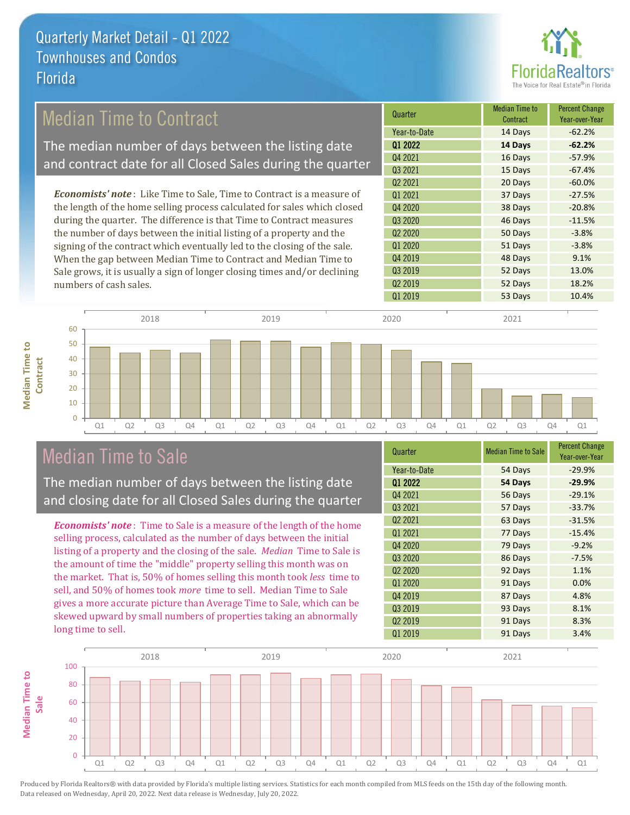

### Median Time to Contract

The median number of days between the listing date and contract date for all Closed Sales during the quarter

*Economists' note* : Like Time to Sale, Time to Contract is a measure of the length of the home selling process calculated for sales which closed during the quarter. The difference is that Time to Contract measures the number of days between the initial listing of a property and the signing of the contract which eventually led to the closing of the sale. When the gap between Median Time to Contract and Median Time to Sale grows, it is usually a sign of longer closing times and/or declining numbers of cash sales.

| Quarter                         | Median Time to<br>Contract | <b>Percent Change</b><br>Year-over-Year |
|---------------------------------|----------------------------|-----------------------------------------|
| Year-to-Date                    | 14 Days                    | $-62.2%$                                |
| 01 2022                         | 14 Days                    | $-62.2%$                                |
| Q4 2021                         | 16 Days                    | $-57.9%$                                |
| Q3 2021                         | 15 Days                    | $-67.4%$                                |
| Q <sub>2</sub> 2021             | 20 Days                    | $-60.0%$                                |
| Q1 2021                         | 37 Days                    | $-27.5%$                                |
| Q4 2020                         | 38 Days                    | $-20.8%$                                |
| Q3 2020                         | 46 Days                    | $-11.5%$                                |
| Q <sub>2</sub> 20 <sub>20</sub> | 50 Days                    | $-3.8%$                                 |
| Q1 2020                         | 51 Days                    | $-3.8%$                                 |
| Q4 2019                         | 48 Days                    | 9.1%                                    |
| Q3 2019                         | 52 Days                    | 13.0%                                   |
| Q <sub>2</sub> 2019             | 52 Days                    | 18.2%                                   |
| Q1 2019                         | 53 Days                    | 10.4%                                   |



### Median Time to Sale

**Median Time to** 

**Median Time to** 

The median number of days between the listing date and closing date for all Closed Sales during the quarter

*Economists' note* : Time to Sale is a measure of the length of the home selling process, calculated as the number of days between the initial listing of a property and the closing of the sale. *Median* Time to Sale is the amount of time the "middle" property selling this month was on the market. That is, 50% of homes selling this month took *less* time to sell, and 50% of homes took *more* time to sell. Median Time to Sale gives a more accurate picture than Average Time to Sale, which can be skewed upward by small numbers of properties taking an abnormally long time to sell.

| Quarter                         | <b>Median Time to Sale</b> | <b>Percent Change</b><br>Year-over-Year |
|---------------------------------|----------------------------|-----------------------------------------|
| Year-to-Date                    | 54 Days                    | $-29.9%$                                |
| 01 2022                         | 54 Days                    | $-29.9%$                                |
| Q4 2021                         | 56 Days                    | $-29.1%$                                |
| Q3 2021                         | 57 Days                    | $-33.7%$                                |
| Q <sub>2</sub> 2021             | 63 Days                    | $-31.5%$                                |
| Q1 2021                         | 77 Days                    | $-15.4%$                                |
| Q4 2020                         | 79 Days                    | $-9.2%$                                 |
| Q3 2020                         | 86 Days                    | $-7.5%$                                 |
| Q <sub>2</sub> 20 <sub>20</sub> | 92 Days                    | 1.1%                                    |
| Q1 2020                         | 91 Days                    | 0.0%                                    |
| Q4 2019                         | 87 Days                    | 4.8%                                    |
| Q3 2019                         | 93 Days                    | 8.1%                                    |
| Q <sub>2</sub> 2019             | 91 Days                    | 8.3%                                    |
| Q1 2019                         | 91 Days                    | 3.4%                                    |

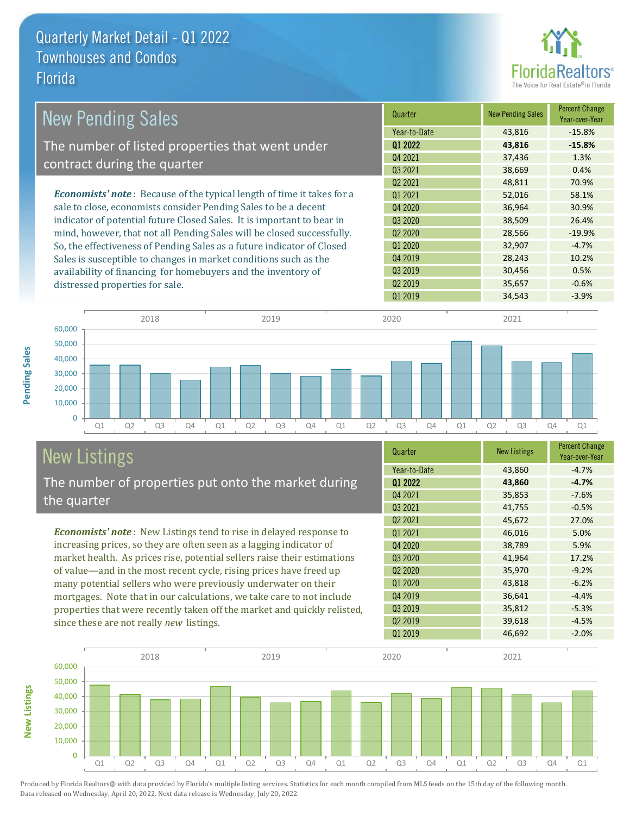

| <b>New Pending Sales</b>                                                      | Quarter             | <b>New Pending Sales</b> | <b>Percent Change</b><br>Year-over-Year |
|-------------------------------------------------------------------------------|---------------------|--------------------------|-----------------------------------------|
|                                                                               | Year-to-Date        | 43,816                   | $-15.8%$                                |
| The number of listed properties that went under                               | 01 2022             | 43,816                   | $-15.8%$                                |
|                                                                               | Q4 2021             | 37,436                   | 1.3%                                    |
| contract during the quarter                                                   | 03 2021             | 38,669                   | 0.4%                                    |
|                                                                               | Q <sub>2</sub> 2021 | 48,811                   | 70.9%                                   |
| <b>Economists' note:</b> Because of the typical length of time it takes for a | Q1 2021             | 52,016                   | 58.1%                                   |
| sale to close, economists consider Pending Sales to be a decent               | Q4 2020             | 36,964                   | 30.9%                                   |
| indicator of potential future Closed Sales. It is important to bear in        | Q3 2020             | 38,509                   | 26.4%                                   |
| mind, however, that not all Pending Sales will be closed successfully.        | Q <sub>2</sub> 2020 | 28,566                   | $-19.9%$                                |
| So, the effectiveness of Pending Sales as a future indicator of Closed        | Q1 2020             | 32,907                   | $-4.7%$                                 |
| Sales is susceptible to changes in market conditions such as the              | Q4 2019             | 28,243                   | 10.2%                                   |
| availability of financing for homebuyers and the inventory of                 | Q3 2019             | 30,456                   | 0.5%                                    |
| distressed properties for sale.                                               | Q <sub>2</sub> 2019 | 35,657                   | $-0.6%$                                 |
|                                                                               | 01 2019             | 34.543                   | $-3.9%$                                 |

**New Listings**



# New Listings

The number of properties put onto the market during the quarter

*Economists' note* : New Listings tend to rise in delayed response to increasing prices, so they are often seen as a lagging indicator of market health. As prices rise, potential sellers raise their estimations of value—and in the most recent cycle, rising prices have freed up many potential sellers who were previously underwater on their mortgages. Note that in our calculations, we take care to not include properties that were recently taken off the market and quickly relisted, since these are not really *new* listings.

| Quarter                         | <b>New Listings</b> | <b>Percent Change</b><br>Year-over-Year |
|---------------------------------|---------------------|-----------------------------------------|
| Year-to-Date                    | 43,860              | $-4.7%$                                 |
| 01 2022                         | 43,860              | $-4.7%$                                 |
| Q4 2021                         | 35,853              | $-7.6%$                                 |
| Q3 2021                         | 41,755              | $-0.5%$                                 |
| Q <sub>2</sub> 2021             | 45,672              | 27.0%                                   |
| Q1 2021                         | 46,016              | 5.0%                                    |
| Q4 2020                         | 38,789              | 5.9%                                    |
| Q3 2020                         | 41,964              | 17.2%                                   |
| Q <sub>2</sub> 20 <sub>20</sub> | 35,970              | $-9.2%$                                 |
| Q1 2020                         | 43,818              | $-6.2%$                                 |
| Q4 2019                         | 36,641              | $-4.4%$                                 |
| Q3 2019                         | 35,812              | $-5.3%$                                 |
| Q <sub>2</sub> 2019             | 39,618              | $-4.5%$                                 |
| Q1 2019                         | 46,692              | $-2.0%$                                 |

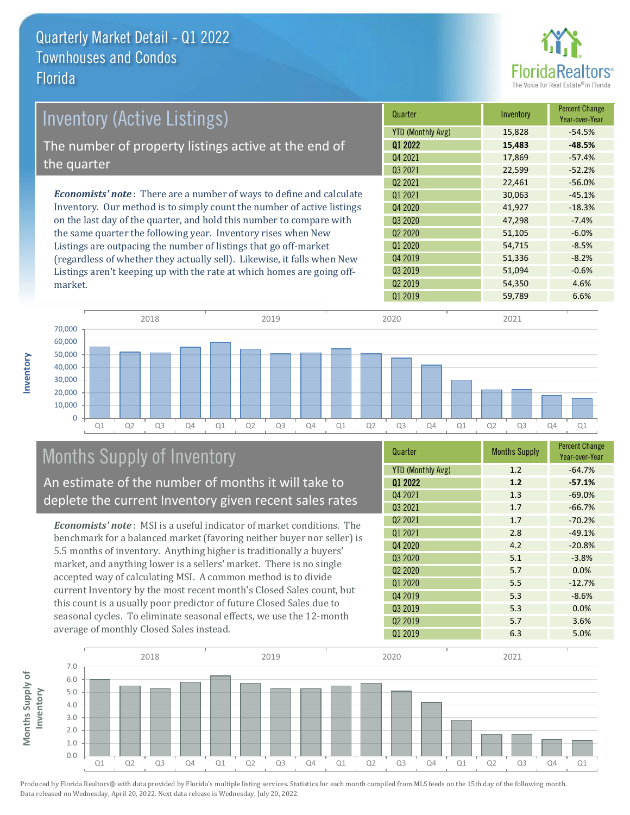

| <b>Inventory (Active Listings)</b>                                           | Quarter                  | Inventory | <b>Percent Change</b><br>Year-over-Year |
|------------------------------------------------------------------------------|--------------------------|-----------|-----------------------------------------|
|                                                                              | <b>YTD (Monthly Avg)</b> | 15,828    | $-54.5%$                                |
| The number of property listings active at the end of                         | 01 2022                  | 15,483    | $-48.5%$                                |
|                                                                              | Q4 2021                  | 17,869    | $-57.4%$                                |
| the quarter                                                                  | Q3 2021                  | 22,599    | $-52.2%$                                |
|                                                                              | Q <sub>2</sub> 2021      | 22,461    | $-56.0%$                                |
| <b>Economists' note</b> : There are a number of ways to define and calculate | 01 2021                  | 30,063    | $-45.1%$                                |
| Inventory. Our method is to simply count the number of active listings       | Q4 2020                  | 41,927    | $-18.3%$                                |
| on the last day of the quarter, and hold this number to compare with         | Q3 2020                  | 47,298    | $-7.4%$                                 |
| the same quarter the following year. Inventory rises when New                | Q <sub>2</sub> 2020      | 51,105    | $-6.0%$                                 |
| Listings are outpacing the number of listings that go off-market             | Q1 2020                  | 54,715    | $-8.5%$                                 |

(regardless of whether they actually sell). Likewise, it falls when New Listings aren't keeping up with the rate at which homes are going offmarket.





# Months Supply of Inventory

An estimate of the number of months it will take to deplete the current Inventory given recent sales rates

*Economists' note* : MSI is a useful indicator of market conditions. The benchmark for a balanced market (favoring neither buyer nor seller) is 5.5 months of inventory. Anything higher is traditionally a buyers' market, and anything lower is a sellers' market. There is no single accepted way of calculating MSI. A common method is to divide current Inventory by the most recent month's Closed Sales count, but this count is a usually poor predictor of future Closed Sales due to seasonal cycles. To eliminate seasonal effects, we use the 12-month average of monthly Closed Sales instead.

| Quarter                         | <b>Months Supply</b> | <b>Percent Change</b><br>Year-over-Year |
|---------------------------------|----------------------|-----------------------------------------|
| <b>YTD (Monthly Avg)</b>        | 1.2                  | $-64.7%$                                |
| Q1 2022                         | 1.2                  | $-57.1%$                                |
| Q4 2021                         | 1.3                  | $-69.0%$                                |
| Q3 2021                         | 1.7                  | $-66.7%$                                |
| Q2 2021                         | 1.7                  | $-70.2%$                                |
| Q1 2021                         | 2.8                  | $-49.1%$                                |
| Q4 2020                         | 4.2                  | $-20.8%$                                |
| Q3 2020                         | 5.1                  | $-3.8%$                                 |
| Q <sub>2</sub> 20 <sub>20</sub> | 5.7                  | 0.0%                                    |
| Q1 2020                         | 5.5                  | $-12.7%$                                |
| Q4 2019                         | 5.3                  | $-8.6%$                                 |
| Q3 2019                         | 5.3                  | 0.0%                                    |
| Q <sub>2</sub> 2019             | 5.7                  | 3.6%                                    |
| Q1 2019                         | 6.3                  | 5.0%                                    |

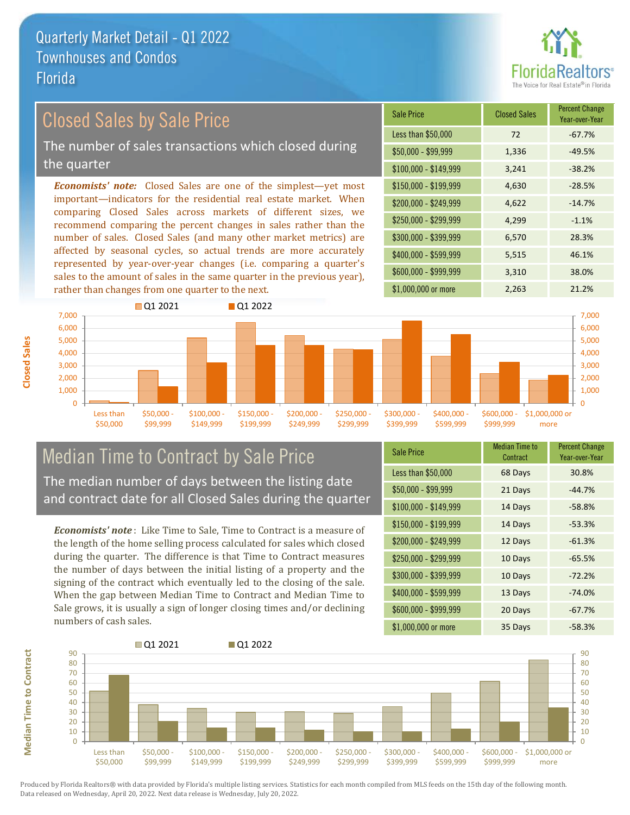

### Closed Sales by Sale Price

The number of sales transactions which closed during the quarter

*Economists' note:* Closed Sales are one of the simplest—yet most important—indicators for the residential real estate market. When comparing Closed Sales across markets of different sizes, we recommend comparing the percent changes in sales rather than the number of sales. Closed Sales (and many other market metrics) are affected by seasonal cycles, so actual trends are more accurately represented by year-over-year changes (i.e. comparing a quarter's sales to the amount of sales in the same quarter in the previous year), rather than changes from one quarter to the next.

| <b>Sale Price</b>     | <b>Closed Sales</b> | <b>Percent Change</b><br>Year-over-Year |
|-----------------------|---------------------|-----------------------------------------|
| Less than \$50,000    | 72                  | $-67.7%$                                |
| $$50,000 - $99,999$   | 1,336               | $-49.5%$                                |
| $$100,000 - $149,999$ | 3,241               | $-38.2%$                                |
| $$150,000 - $199,999$ | 4,630               | $-28.5%$                                |
| \$200,000 - \$249,999 | 4,622               | $-14.7%$                                |
| \$250,000 - \$299,999 | 4,299               | $-1.1%$                                 |
| \$300,000 - \$399,999 | 6,570               | 28.3%                                   |
| \$400,000 - \$599,999 | 5,515               | 46.1%                                   |
| \$600,000 - \$999,999 | 3,310               | 38.0%                                   |
| \$1,000,000 or more   | 2,263               | 21.2%                                   |



### Median Time to Contract by Sale Price The median number of days between the listing date

and contract date for all Closed Sales during the quarter

*Economists' note* : Like Time to Sale, Time to Contract is a measure of the length of the home selling process calculated for sales which closed during the quarter. The difference is that Time to Contract measures the number of days between the initial listing of a property and the signing of the contract which eventually led to the closing of the sale. When the gap between Median Time to Contract and Median Time to Sale grows, it is usually a sign of longer closing times and/or declining numbers of cash sales.

| <b>Sale Price</b>     | <b>Median Time to</b><br>Contract | <b>Percent Change</b><br>Year-over-Year |
|-----------------------|-----------------------------------|-----------------------------------------|
| Less than \$50,000    | 68 Days                           | 30.8%                                   |
| $$50,000 - $99,999$   | 21 Days                           | $-44.7%$                                |
| $$100,000 - $149,999$ | 14 Days                           | $-58.8%$                                |
| $$150,000 - $199,999$ | 14 Days                           | $-53.3%$                                |
| \$200,000 - \$249,999 | 12 Days                           | $-61.3%$                                |
| \$250,000 - \$299,999 | 10 Days                           | $-65.5%$                                |
| \$300,000 - \$399,999 | 10 Days                           | $-72.2%$                                |
| \$400,000 - \$599,999 | 13 Days                           | $-74.0%$                                |
| \$600,000 - \$999,999 | 20 Days                           | $-67.7%$                                |
| \$1,000,000 or more   | 35 Days                           | $-58.3%$                                |



 $\Omega$ 10 20 30 40 50 60 70 80  $90$ Less than \$50,000 \$50,000 - \$99,999 \$100,000 \$149,999 \$150,000 - \$199,999 \$200,000 - \$249,999 \$250,000 - \$299,999 \$300,000 - \$399,999 \$400,000 - \$599,999 \$600,000 - \$999,999 \$1,000,000 or more Q1 2021 Q1 2022  $\Omega$ 10 20 30 40 50 60 70 80  $90$ 

**Closed Sales**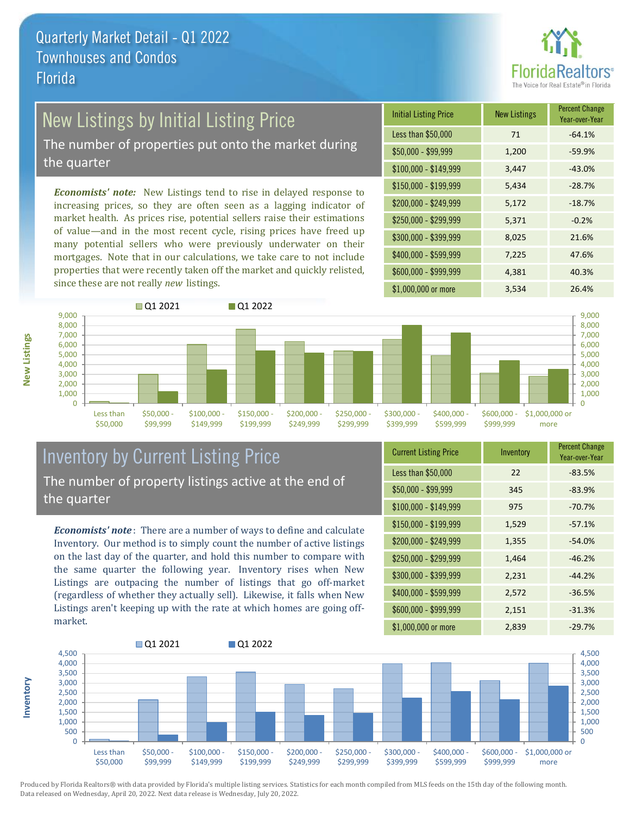

## New Listings by Initial Listing Price

The number of properties put onto the market during the quarter

*Economists' note:* New Listings tend to rise in delayed response to increasing prices, so they are often seen as a lagging indicator of market health. As prices rise, potential sellers raise their estimations of value—and in the most recent cycle, rising prices have freed up many potential sellers who were previously underwater on their mortgages. Note that in our calculations, we take care to not include properties that were recently taken off the market and quickly relisted, since these are not really *new* listings.

| <b>Initial Listing Price</b> | <b>New Listings</b> | <b>Percent Change</b><br>Year-over-Year |
|------------------------------|---------------------|-----------------------------------------|
| Less than \$50,000           | 71                  | $-64.1%$                                |
| $$50,000 - $99,999$          | 1,200               | $-59.9%$                                |
| $$100,000 - $149,999$        | 3,447               | $-43.0%$                                |
| $$150,000 - $199,999$        | 5,434               | $-28.7%$                                |
| \$200,000 - \$249,999        | 5,172               | $-18.7%$                                |
| \$250,000 - \$299,999        | 5,371               | $-0.2%$                                 |
| \$300,000 - \$399,999        | 8,025               | 21.6%                                   |
| \$400,000 - \$599,999        | 7,225               | 47.6%                                   |
| \$600,000 - \$999,999        | 4,381               | 40.3%                                   |
| \$1,000,000 or more          | 3,534               | 26.4%                                   |



#### Inventory by Current Listing Price The number of property listings active at the end of the quarter

*Economists' note* : There are a number of ways to define and calculate Inventory. Our method is to simply count the number of active listings on the last day of the quarter, and hold this number to compare with the same quarter the following year. Inventory rises when New Listings are outpacing the number of listings that go off-market (regardless of whether they actually sell). Likewise, it falls when New Listings aren't keeping up with the rate at which homes are going offmarket.

| <b>Current Listing Price</b> | Inventory | <b>Percent Change</b><br>Year-over-Year |
|------------------------------|-----------|-----------------------------------------|
| Less than \$50,000           | 22        | $-83.5%$                                |
| $$50,000 - $99,999$          | 345       | $-83.9%$                                |
| $$100,000 - $149,999$        | 975       | $-70.7%$                                |
| $$150,000 - $199,999$        | 1,529     | $-57.1%$                                |
| \$200,000 - \$249,999        | 1,355     | $-54.0%$                                |
| \$250,000 - \$299,999        | 1,464     | $-46.2%$                                |
| \$300,000 - \$399,999        | 2,231     | $-44.2%$                                |
| \$400,000 - \$599,999        | 2,572     | $-36.5%$                                |
| \$600,000 - \$999,999        | 2,151     | $-31.3%$                                |
| \$1,000,000 or more          | 2,839     | $-29.7%$                                |



Produced by Florida Realtors® with data provided by Florida's multiple listing services. Statistics for each month compiled from MLS feeds on the 15th day of the following month. Data released on Wednesday, April 20, 2022. Next data release is Wednesday, July 20, 2022.

**Inventory**